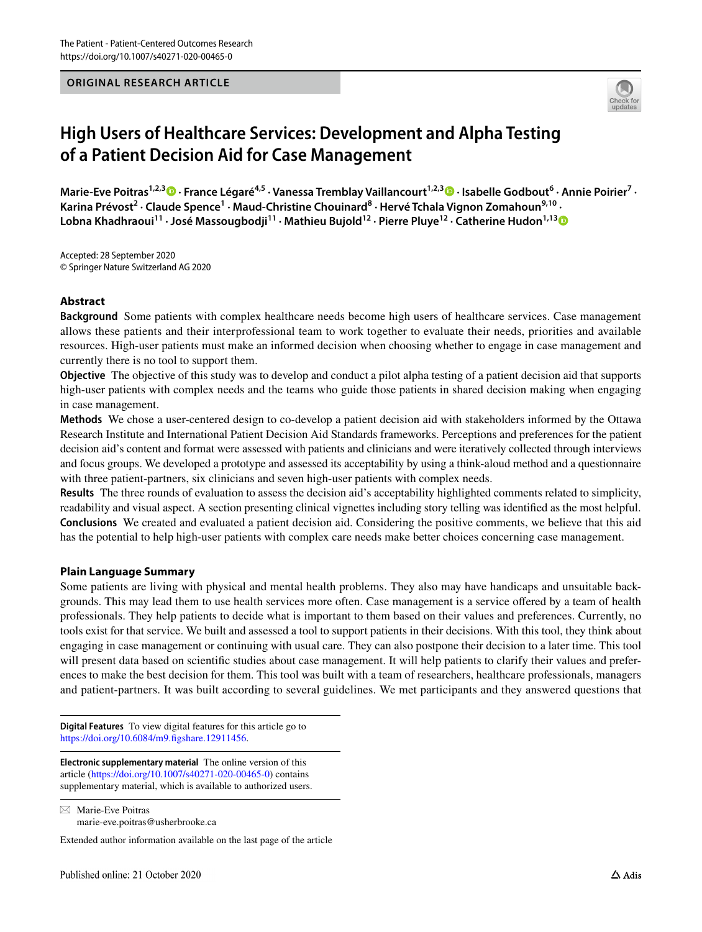### **ORIGINAL RESEARCH ARTICLE**



# **High Users of Healthcare Services: Development and Alpha Testing of a Patient Decision Aid for Case Management**

Marie-EvePoitras<sup>1,2,3</sup> D· France Légaré<sup>4,5</sup> [·](http://orcid.org/0000-0002-9187-2300) Vanessa Tremblay Vaillancourt<sup>1,2,3</sup> D· Isabelle Godbout<sup>6</sup> · Annie Poirier<sup>7</sup> · Karina Prévost<sup>2</sup> · Claude Spence<sup>1</sup> · Maud-Christine Chouinard<sup>8</sup> · Hervé Tchala Vignon Zomahoun<sup>9,10</sup> · **Lobna Khadhraoui11 · José Massougbodji11 · Mathieu Bujold12 · Pierre Pluye12 · Catherine Hudon1,1[3](http://orcid.org/0000-0001-6140-9916)**

Accepted: 28 September 2020 © Springer Nature Switzerland AG 2020

### **Abstract**

**Background** Some patients with complex healthcare needs become high users of healthcare services. Case management allows these patients and their interprofessional team to work together to evaluate their needs, priorities and available resources. High-user patients must make an informed decision when choosing whether to engage in case management and currently there is no tool to support them.

**Objective** The objective of this study was to develop and conduct a pilot alpha testing of a patient decision aid that supports high-user patients with complex needs and the teams who guide those patients in shared decision making when engaging in case management.

**Methods** We chose a user-centered design to co-develop a patient decision aid with stakeholders informed by the Ottawa Research Institute and International Patient Decision Aid Standards frameworks. Perceptions and preferences for the patient decision aid's content and format were assessed with patients and clinicians and were iteratively collected through interviews and focus groups. We developed a prototype and assessed its acceptability by using a think-aloud method and a questionnaire with three patient-partners, six clinicians and seven high-user patients with complex needs.

**Results** The three rounds of evaluation to assess the decision aid's acceptability highlighted comments related to simplicity, readability and visual aspect. A section presenting clinical vignettes including story telling was identifed as the most helpful. **Conclusions** We created and evaluated a patient decision aid. Considering the positive comments, we believe that this aid has the potential to help high-user patients with complex care needs make better choices concerning case management.

### **Plain Language Summary**

Some patients are living with physical and mental health problems. They also may have handicaps and unsuitable backgrounds. This may lead them to use health services more often. Case management is a service ofered by a team of health professionals. They help patients to decide what is important to them based on their values and preferences. Currently, no tools exist for that service. We built and assessed a tool to support patients in their decisions. With this tool, they think about engaging in case management or continuing with usual care. They can also postpone their decision to a later time. This tool will present data based on scientifc studies about case management. It will help patients to clarify their values and preferences to make the best decision for them. This tool was built with a team of researchers, healthcare professionals, managers and patient-partners. It was built according to several guidelines. We met participants and they answered questions that

**Digital Features** To view digital features for this article go to [https://doi.org/10.6084/m9.fgshare.12911456](https://doi.org/10.6084/m9.figshare.12911456).

**Electronic supplementary material** The online version of this article [\(https://doi.org/10.1007/s40271-020-00465-0\)](https://doi.org/10.1007/s40271-020-00465-0) contains supplementary material, which is available to authorized users.

 $\boxtimes$  Marie-Eve Poitras marie-eve.poitras@usherbrooke.ca

Extended author information available on the last page of the article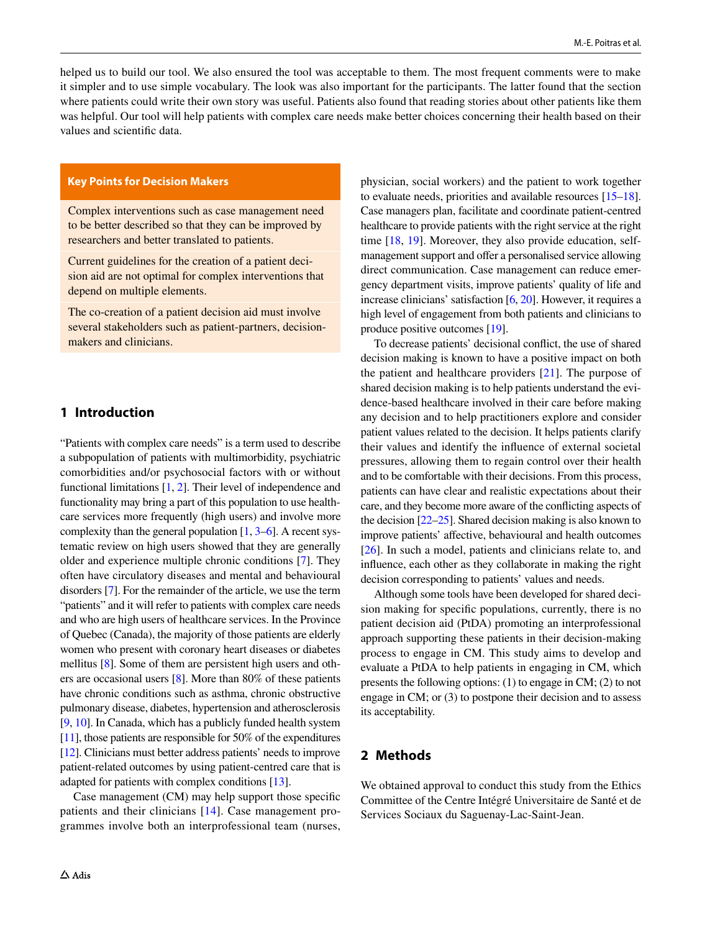helped us to build our tool. We also ensured the tool was acceptable to them. The most frequent comments were to make it simpler and to use simple vocabulary. The look was also important for the participants. The latter found that the section where patients could write their own story was useful. Patients also found that reading stories about other patients like them was helpful. Our tool will help patients with complex care needs make better choices concerning their health based on their values and scientifc data.

### **Key Points for Decision Makers**

Complex interventions such as case management need to be better described so that they can be improved by researchers and better translated to patients.

Current guidelines for the creation of a patient decision aid are not optimal for complex interventions that depend on multiple elements.

The co-creation of a patient decision aid must involve several stakeholders such as patient-partners, decisionmakers and clinicians.

### **1 Introduction**

"Patients with complex care needs" is a term used to describe a subpopulation of patients with multimorbidity, psychiatric comorbidities and/or psychosocial factors with or without functional limitations [[1,](#page-7-0) [2](#page-7-1)]. Their level of independence and functionality may bring a part of this population to use healthcare services more frequently (high users) and involve more complexity than the general population  $[1, 3–6]$  $[1, 3–6]$  $[1, 3–6]$  $[1, 3–6]$ . A recent systematic review on high users showed that they are generally older and experience multiple chronic conditions [\[7](#page-7-4)]. They often have circulatory diseases and mental and behavioural disorders [[7\]](#page-7-4). For the remainder of the article, we use the term "patients" and it will refer to patients with complex care needs and who are high users of healthcare services. In the Province of Quebec (Canada), the majority of those patients are elderly women who present with coronary heart diseases or diabetes mellitus [\[8](#page-7-5)]. Some of them are persistent high users and others are occasional users [\[8](#page-7-5)]. More than 80% of these patients have chronic conditions such as asthma, chronic obstructive pulmonary disease, diabetes, hypertension and atherosclerosis [\[9](#page-7-6), [10](#page-8-0)]. In Canada, which has a publicly funded health system [\[11\]](#page-8-1), those patients are responsible for 50% of the expenditures [\[12\]](#page-8-2). Clinicians must better address patients' needs to improve patient-related outcomes by using patient-centred care that is adapted for patients with complex conditions [[13\]](#page-8-3).

Case management (CM) may help support those specifc patients and their clinicians [[14\]](#page-8-4). Case management programmes involve both an interprofessional team (nurses,

physician, social workers) and the patient to work together to evaluate needs, priorities and available resources [\[15–](#page-8-5)[18\]](#page-8-6). Case managers plan, facilitate and coordinate patient-centred healthcare to provide patients with the right service at the right time [\[18](#page-8-6), [19\]](#page-8-7). Moreover, they also provide education, selfmanagement support and offer a personalised service allowing direct communication. Case management can reduce emergency department visits, improve patients' quality of life and increase clinicians' satisfaction [\[6](#page-7-3), [20\]](#page-8-8). However, it requires a high level of engagement from both patients and clinicians to produce positive outcomes [\[19\]](#page-8-7).

To decrease patients' decisional confict, the use of shared decision making is known to have a positive impact on both the patient and healthcare providers [\[21\]](#page-8-9). The purpose of shared decision making is to help patients understand the evidence-based healthcare involved in their care before making any decision and to help practitioners explore and consider patient values related to the decision. It helps patients clarify their values and identify the infuence of external societal pressures, allowing them to regain control over their health and to be comfortable with their decisions. From this process, patients can have clear and realistic expectations about their care, and they become more aware of the conficting aspects of the decision [\[22–](#page-8-10)[25](#page-8-11)]. Shared decision making is also known to improve patients' affective, behavioural and health outcomes [\[26\]](#page-8-12). In such a model, patients and clinicians relate to, and infuence, each other as they collaborate in making the right decision corresponding to patients' values and needs.

Although some tools have been developed for shared decision making for specifc populations, currently, there is no patient decision aid (PtDA) promoting an interprofessional approach supporting these patients in their decision-making process to engage in CM. This study aims to develop and evaluate a PtDA to help patients in engaging in CM, which presents the following options: (1) to engage in CM; (2) to not engage in CM; or (3) to postpone their decision and to assess its acceptability.

### **2 Methods**

We obtained approval to conduct this study from the Ethics Committee of the Centre Intégré Universitaire de Santé et de Services Sociaux du Saguenay-Lac-Saint-Jean.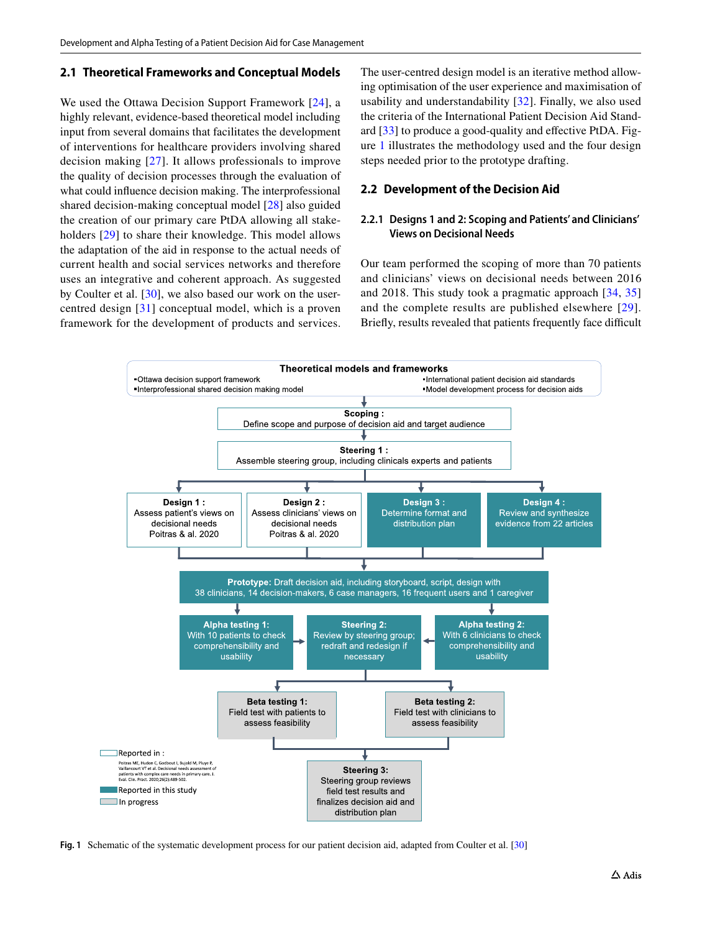### **2.1 Theoretical Frameworks and Conceptual Models**

We used the Ottawa Decision Support Framework [\[24\]](#page-8-13), a highly relevant, evidence-based theoretical model including input from several domains that facilitates the development of interventions for healthcare providers involving shared decision making [[27](#page-8-14)]. It allows professionals to improve the quality of decision processes through the evaluation of what could infuence decision making. The interprofessional shared decision-making conceptual model [[28](#page-8-15)] also guided the creation of our primary care PtDA allowing all stake-holders [[29](#page-8-16)] to share their knowledge. This model allows the adaptation of the aid in response to the actual needs of current health and social services networks and therefore uses an integrative and coherent approach. As suggested by Coulter et al. [\[30](#page-8-17)], we also based our work on the usercentred design [\[31\]](#page-8-18) conceptual model, which is a proven framework for the development of products and services. The user-centred design model is an iterative method allowing optimisation of the user experience and maximisation of usability and understandability [[32](#page-8-19)]. Finally, we also used the criteria of the International Patient Decision Aid Standard [[33\]](#page-8-20) to produce a good-quality and efective PtDA. Figure [1](#page-2-0) illustrates the methodology used and the four design steps needed prior to the prototype drafting.

#### **2.2 Development of the Decision Aid**

### **2.2.1 Designs 1 and 2: Scoping and Patients' and Clinicians' Views on Decisional Needs**

Our team performed the scoping of more than 70 patients and clinicians' views on decisional needs between 2016 and 2018. This study took a pragmatic approach [[34,](#page-8-21) [35\]](#page-8-22) and the complete results are published elsewhere [[29](#page-8-16)]. Briefly, results revealed that patients frequently face difficult



<span id="page-2-0"></span>**Fig. 1** Schematic of the systematic development process for our patient decision aid, adapted from Coulter et al. [\[30\]](#page-8-17)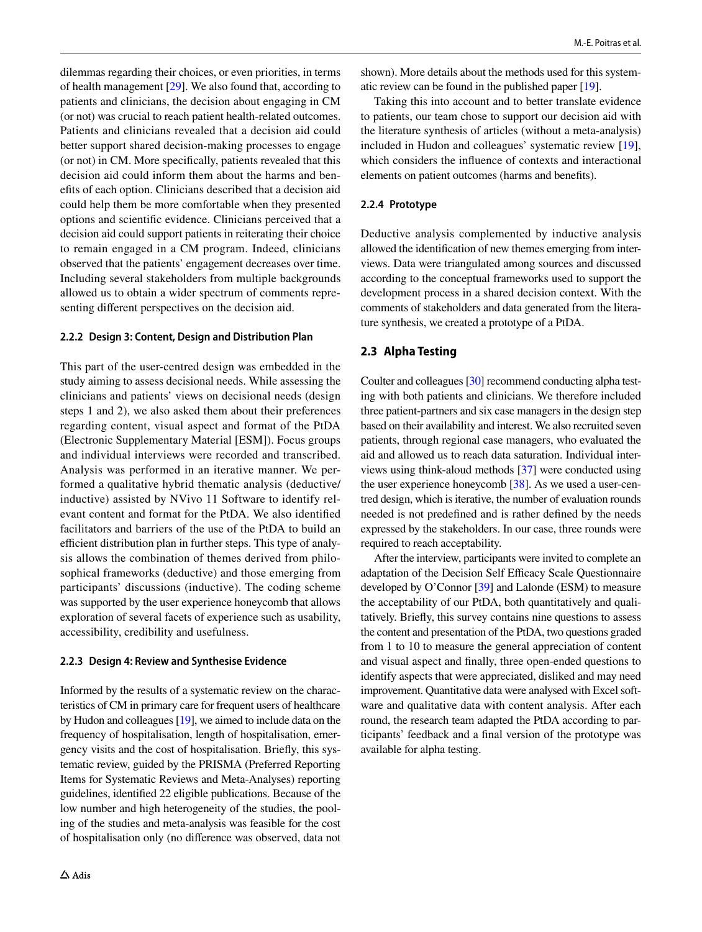dilemmas regarding their choices, or even priorities, in terms of health management [\[29\]](#page-8-16). We also found that, according to patients and clinicians, the decision about engaging in CM (or not) was crucial to reach patient health-related outcomes. Patients and clinicians revealed that a decision aid could better support shared decision-making processes to engage (or not) in CM. More specifcally, patients revealed that this decision aid could inform them about the harms and benefts of each option. Clinicians described that a decision aid could help them be more comfortable when they presented options and scientifc evidence. Clinicians perceived that a decision aid could support patients in reiterating their choice to remain engaged in a CM program. Indeed, clinicians observed that the patients' engagement decreases over time. Including several stakeholders from multiple backgrounds allowed us to obtain a wider spectrum of comments representing diferent perspectives on the decision aid.

### **2.2.2 Design 3: Content, Design and Distribution Plan**

This part of the user-centred design was embedded in the study aiming to assess decisional needs. While assessing the clinicians and patients' views on decisional needs (design steps 1 and 2), we also asked them about their preferences regarding content, visual aspect and format of the PtDA (Electronic Supplementary Material [ESM]). Focus groups and individual interviews were recorded and transcribed. Analysis was performed in an iterative manner. We performed a qualitative hybrid thematic analysis (deductive/ inductive) assisted by NVivo 11 Software to identify relevant content and format for the PtDA. We also identifed facilitators and barriers of the use of the PtDA to build an efficient distribution plan in further steps. This type of analysis allows the combination of themes derived from philosophical frameworks (deductive) and those emerging from participants' discussions (inductive). The coding scheme was supported by the user experience honeycomb that allows exploration of several facets of experience such as usability, accessibility, credibility and usefulness.

### **2.2.3 Design 4: Review and Synthesise Evidence**

Informed by the results of a systematic review on the characteristics of CM in primary care for frequent users of healthcare by Hudon and colleagues [\[19\]](#page-8-7), we aimed to include data on the frequency of hospitalisation, length of hospitalisation, emergency visits and the cost of hospitalisation. Briefy, this systematic review, guided by the PRISMA (Preferred Reporting Items for Systematic Reviews and Meta-Analyses) reporting guidelines, identifed 22 eligible publications. Because of the low number and high heterogeneity of the studies, the pooling of the studies and meta-analysis was feasible for the cost of hospitalisation only (no diference was observed, data not shown). More details about the methods used for this systematic review can be found in the published paper [\[19](#page-8-7)].

Taking this into account and to better translate evidence to patients, our team chose to support our decision aid with the literature synthesis of articles (without a meta-analysis) included in Hudon and colleagues' systematic review [\[19](#page-8-7)], which considers the infuence of contexts and interactional elements on patient outcomes (harms and benefts).

### **2.2.4 Prototype**

Deductive analysis complemented by inductive analysis allowed the identifcation of new themes emerging from interviews. Data were triangulated among sources and discussed according to the conceptual frameworks used to support the development process in a shared decision context. With the comments of stakeholders and data generated from the literature synthesis, we created a prototype of a PtDA.

### **2.3 Alpha Testing**

Coulter and colleagues [\[30\]](#page-8-17) recommend conducting alpha testing with both patients and clinicians. We therefore included three patient-partners and six case managers in the design step based on their availability and interest. We also recruited seven patients, through regional case managers, who evaluated the aid and allowed us to reach data saturation. Individual interviews using think-aloud methods [\[37](#page-8-23)] were conducted using the user experience honeycomb [[38](#page-8-24)]. As we used a user-centred design, which is iterative, the number of evaluation rounds needed is not predefned and is rather defned by the needs expressed by the stakeholders. In our case, three rounds were required to reach acceptability.

After the interview, participants were invited to complete an adaptation of the Decision Self Efficacy Scale Questionnaire developed by O'Connor [[39\]](#page-8-25) and Lalonde (ESM) to measure the acceptability of our PtDA, both quantitatively and qualitatively. Briefy, this survey contains nine questions to assess the content and presentation of the PtDA, two questions graded from 1 to 10 to measure the general appreciation of content and visual aspect and fnally, three open-ended questions to identify aspects that were appreciated, disliked and may need improvement. Quantitative data were analysed with Excel software and qualitative data with content analysis. After each round, the research team adapted the PtDA according to participants' feedback and a fnal version of the prototype was available for alpha testing.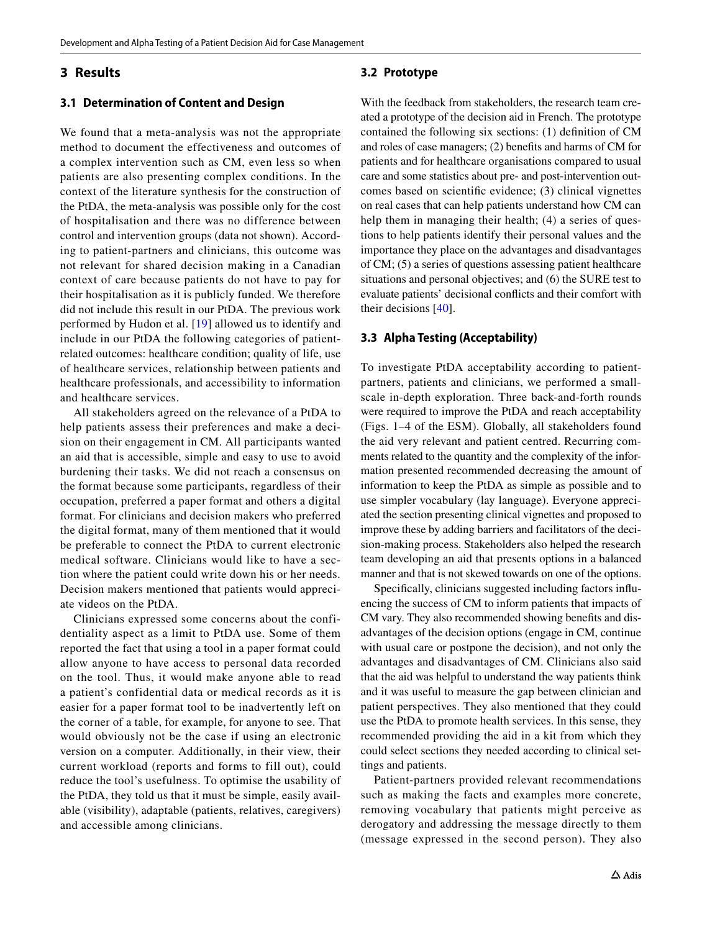### **3 Results**

### **3.1 Determination of Content and Design**

We found that a meta-analysis was not the appropriate method to document the effectiveness and outcomes of a complex intervention such as CM, even less so when patients are also presenting complex conditions. In the context of the literature synthesis for the construction of the PtDA, the meta-analysis was possible only for the cost of hospitalisation and there was no difference between control and intervention groups (data not shown). According to patient-partners and clinicians, this outcome was not relevant for shared decision making in a Canadian context of care because patients do not have to pay for their hospitalisation as it is publicly funded. We therefore did not include this result in our PtDA. The previous work performed by Hudon et al. [[19](#page-8-7)] allowed us to identify and include in our PtDA the following categories of patientrelated outcomes: healthcare condition; quality of life, use of healthcare services, relationship between patients and healthcare professionals, and accessibility to information and healthcare services.

All stakeholders agreed on the relevance of a PtDA to help patients assess their preferences and make a decision on their engagement in CM. All participants wanted an aid that is accessible, simple and easy to use to avoid burdening their tasks. We did not reach a consensus on the format because some participants, regardless of their occupation, preferred a paper format and others a digital format. For clinicians and decision makers who preferred the digital format, many of them mentioned that it would be preferable to connect the PtDA to current electronic medical software. Clinicians would like to have a section where the patient could write down his or her needs. Decision makers mentioned that patients would appreciate videos on the PtDA.

Clinicians expressed some concerns about the confidentiality aspect as a limit to PtDA use. Some of them reported the fact that using a tool in a paper format could allow anyone to have access to personal data recorded on the tool. Thus, it would make anyone able to read a patient's confidential data or medical records as it is easier for a paper format tool to be inadvertently left on the corner of a table, for example, for anyone to see. That would obviously not be the case if using an electronic version on a computer. Additionally, in their view, their current workload (reports and forms to fill out), could reduce the tool's usefulness. To optimise the usability of the PtDA, they told us that it must be simple, easily available (visibility), adaptable (patients, relatives, caregivers) and accessible among clinicians.

#### **3.2 Prototype**

With the feedback from stakeholders, the research team created a prototype of the decision aid in French. The prototype contained the following six sections: (1) defnition of CM and roles of case managers; (2) benefts and harms of CM for patients and for healthcare organisations compared to usual care and some statistics about pre- and post-intervention outcomes based on scientifc evidence; (3) clinical vignettes on real cases that can help patients understand how CM can help them in managing their health; (4) a series of questions to help patients identify their personal values and the importance they place on the advantages and disadvantages of CM; (5) a series of questions assessing patient healthcare situations and personal objectives; and (6) the SURE test to evaluate patients' decisional conficts and their comfort with their decisions [[40\]](#page-8-26).

### **3.3 Alpha Testing (Acceptability)**

To investigate PtDA acceptability according to patientpartners, patients and clinicians, we performed a smallscale in-depth exploration. Three back-and-forth rounds were required to improve the PtDA and reach acceptability (Figs. 1–4 of the ESM). Globally, all stakeholders found the aid very relevant and patient centred. Recurring comments related to the quantity and the complexity of the information presented recommended decreasing the amount of information to keep the PtDA as simple as possible and to use simpler vocabulary (lay language). Everyone appreciated the section presenting clinical vignettes and proposed to improve these by adding barriers and facilitators of the decision-making process. Stakeholders also helped the research team developing an aid that presents options in a balanced manner and that is not skewed towards on one of the options.

Specifcally, clinicians suggested including factors infuencing the success of CM to inform patients that impacts of CM vary. They also recommended showing benefts and disadvantages of the decision options (engage in CM, continue with usual care or postpone the decision), and not only the advantages and disadvantages of CM. Clinicians also said that the aid was helpful to understand the way patients think and it was useful to measure the gap between clinician and patient perspectives. They also mentioned that they could use the PtDA to promote health services. In this sense, they recommended providing the aid in a kit from which they could select sections they needed according to clinical settings and patients.

Patient-partners provided relevant recommendations such as making the facts and examples more concrete, removing vocabulary that patients might perceive as derogatory and addressing the message directly to them (message expressed in the second person). They also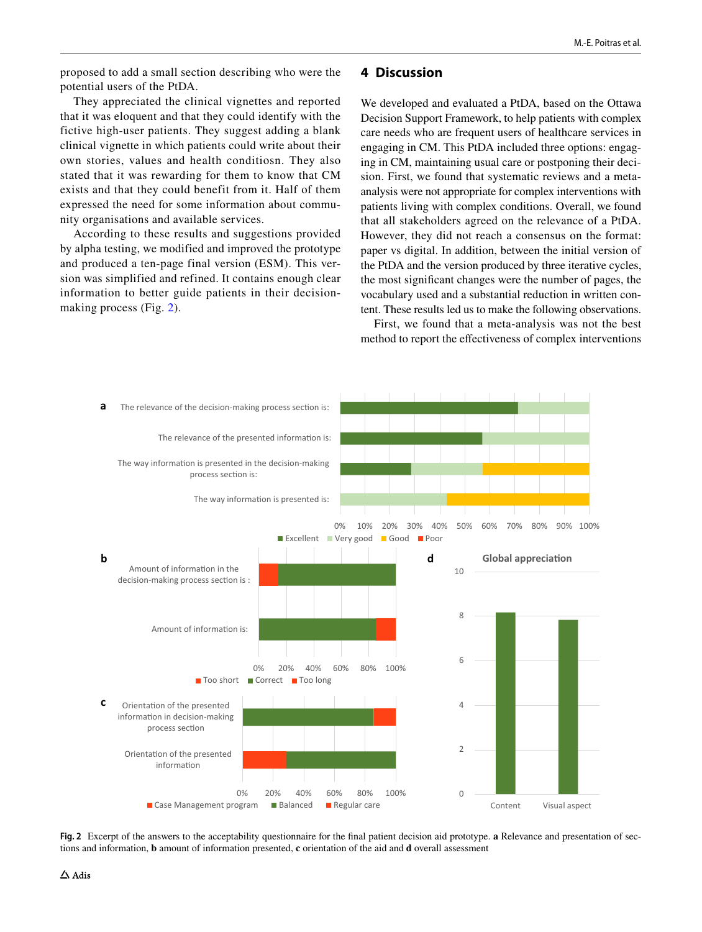proposed to add a small section describing who were the potential users of the PtDA.

They appreciated the clinical vignettes and reported that it was eloquent and that they could identify with the fictive high-user patients. They suggest adding a blank clinical vignette in which patients could write about their own stories, values and health conditiosn. They also stated that it was rewarding for them to know that CM exists and that they could benefit from it. Half of them expressed the need for some information about community organisations and available services.

According to these results and suggestions provided by alpha testing, we modified and improved the prototype and produced a ten-page final version (ESM). This version was simplified and refined. It contains enough clear information to better guide patients in their decisionmaking process (Fig. [2\)](#page-5-0).

### **4 Discussion**

We developed and evaluated a PtDA, based on the Ottawa Decision Support Framework, to help patients with complex care needs who are frequent users of healthcare services in engaging in CM. This PtDA included three options: engaging in CM, maintaining usual care or postponing their decision. First, we found that systematic reviews and a metaanalysis were not appropriate for complex interventions with patients living with complex conditions. Overall, we found that all stakeholders agreed on the relevance of a PtDA. However, they did not reach a consensus on the format: paper vs digital. In addition, between the initial version of the PtDA and the version produced by three iterative cycles, the most signifcant changes were the number of pages, the vocabulary used and a substantial reduction in written content. These results led us to make the following observations.

First, we found that a meta-analysis was not the best method to report the efectiveness of complex interventions



<span id="page-5-0"></span>**Fig. 2** Excerpt of the answers to the acceptability questionnaire for the fnal patient decision aid prototype. **a** Relevance and presentation of sections and information, **b** amount of information presented, **c** orientation of the aid and **d** overall assessment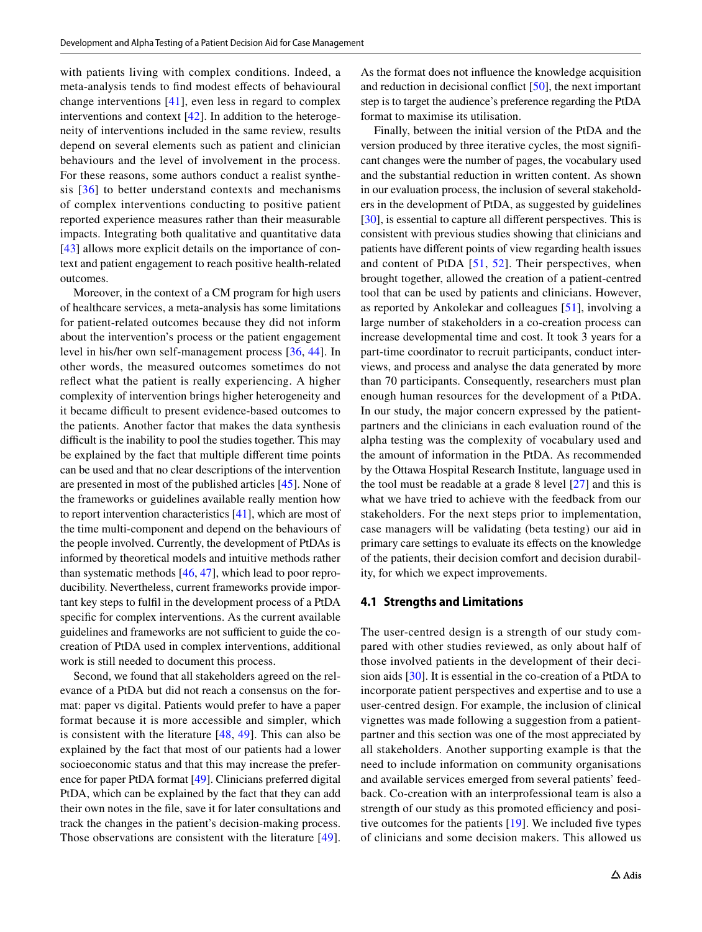with patients living with complex conditions. Indeed, a meta-analysis tends to fnd modest efects of behavioural change interventions [\[41](#page-8-27)], even less in regard to complex interventions and context  $[42]$  $[42]$ . In addition to the heterogeneity of interventions included in the same review, results depend on several elements such as patient and clinician behaviours and the level of involvement in the process. For these reasons, some authors conduct a realist synthesis [[36](#page-8-28)] to better understand contexts and mechanisms of complex interventions conducting to positive patient reported experience measures rather than their measurable impacts. Integrating both qualitative and quantitative data [\[43\]](#page-9-1) allows more explicit details on the importance of context and patient engagement to reach positive health-related outcomes.

Moreover, in the context of a CM program for high users of healthcare services, a meta-analysis has some limitations for patient-related outcomes because they did not inform about the intervention's process or the patient engagement level in his/her own self-management process [[36](#page-8-28), [44\]](#page-9-2). In other words, the measured outcomes sometimes do not refect what the patient is really experiencing. A higher complexity of intervention brings higher heterogeneity and it became difficult to present evidence-based outcomes to the patients. Another factor that makes the data synthesis difficult is the inability to pool the studies together. This may be explained by the fact that multiple diferent time points can be used and that no clear descriptions of the intervention are presented in most of the published articles [[45\]](#page-9-3). None of the frameworks or guidelines available really mention how to report intervention characteristics [\[41](#page-8-27)], which are most of the time multi-component and depend on the behaviours of the people involved. Currently, the development of PtDAs is informed by theoretical models and intuitive methods rather than systematic methods [\[46](#page-9-4), [47\]](#page-9-5), which lead to poor reproducibility. Nevertheless, current frameworks provide important key steps to fulfl in the development process of a PtDA specific for complex interventions. As the current available guidelines and frameworks are not sufficient to guide the cocreation of PtDA used in complex interventions, additional work is still needed to document this process.

Second, we found that all stakeholders agreed on the relevance of a PtDA but did not reach a consensus on the format: paper vs digital. Patients would prefer to have a paper format because it is more accessible and simpler, which is consistent with the literature  $[48, 49]$  $[48, 49]$  $[48, 49]$  $[48, 49]$ . This can also be explained by the fact that most of our patients had a lower socioeconomic status and that this may increase the preference for paper PtDA format [\[49](#page-9-7)]. Clinicians preferred digital PtDA, which can be explained by the fact that they can add their own notes in the fle, save it for later consultations and track the changes in the patient's decision-making process. Those observations are consistent with the literature [[49](#page-9-7)].

As the format does not infuence the knowledge acquisition and reduction in decisional confict [\[50\]](#page-9-8), the next important step is to target the audience's preference regarding the PtDA format to maximise its utilisation.

Finally, between the initial version of the PtDA and the version produced by three iterative cycles, the most signifcant changes were the number of pages, the vocabulary used and the substantial reduction in written content. As shown in our evaluation process, the inclusion of several stakeholders in the development of PtDA, as suggested by guidelines [\[30](#page-8-17)], is essential to capture all diferent perspectives. This is consistent with previous studies showing that clinicians and patients have diferent points of view regarding health issues and content of PtDA [\[51,](#page-9-9) [52](#page-9-10)]. Their perspectives, when brought together, allowed the creation of a patient-centred tool that can be used by patients and clinicians. However, as reported by Ankolekar and colleagues [[51\]](#page-9-9), involving a large number of stakeholders in a co-creation process can increase developmental time and cost. It took 3 years for a part-time coordinator to recruit participants, conduct interviews, and process and analyse the data generated by more than 70 participants. Consequently, researchers must plan enough human resources for the development of a PtDA. In our study, the major concern expressed by the patientpartners and the clinicians in each evaluation round of the alpha testing was the complexity of vocabulary used and the amount of information in the PtDA. As recommended by the Ottawa Hospital Research Institute, language used in the tool must be readable at a grade 8 level [[27\]](#page-8-14) and this is what we have tried to achieve with the feedback from our stakeholders. For the next steps prior to implementation, case managers will be validating (beta testing) our aid in primary care settings to evaluate its efects on the knowledge of the patients, their decision comfort and decision durability, for which we expect improvements.

#### **4.1 Strengths and Limitations**

The user-centred design is a strength of our study compared with other studies reviewed, as only about half of those involved patients in the development of their decision aids [\[30\]](#page-8-17). It is essential in the co-creation of a PtDA to incorporate patient perspectives and expertise and to use a user-centred design. For example, the inclusion of clinical vignettes was made following a suggestion from a patientpartner and this section was one of the most appreciated by all stakeholders. Another supporting example is that the need to include information on community organisations and available services emerged from several patients' feedback. Co-creation with an interprofessional team is also a strength of our study as this promoted efficiency and positive outcomes for the patients  $[19]$  $[19]$ . We included five types of clinicians and some decision makers. This allowed us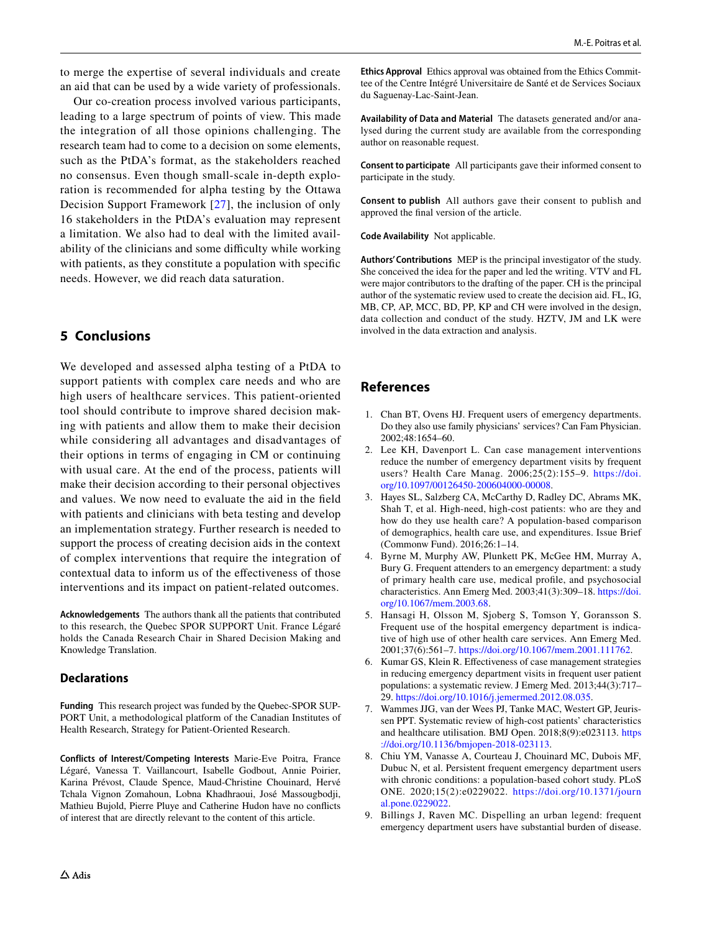to merge the expertise of several individuals and create an aid that can be used by a wide variety of professionals.

Our co-creation process involved various participants, leading to a large spectrum of points of view. This made the integration of all those opinions challenging. The research team had to come to a decision on some elements, such as the PtDA's format, as the stakeholders reached no consensus. Even though small-scale in-depth exploration is recommended for alpha testing by the Ottawa Decision Support Framework [[27](#page-8-14)], the inclusion of only 16 stakeholders in the PtDA's evaluation may represent a limitation. We also had to deal with the limited availability of the clinicians and some difficulty while working with patients, as they constitute a population with specifc needs. However, we did reach data saturation.

### **5 Conclusions**

We developed and assessed alpha testing of a PtDA to support patients with complex care needs and who are high users of healthcare services. This patient-oriented tool should contribute to improve shared decision making with patients and allow them to make their decision while considering all advantages and disadvantages of their options in terms of engaging in CM or continuing with usual care. At the end of the process, patients will make their decision according to their personal objectives and values. We now need to evaluate the aid in the feld with patients and clinicians with beta testing and develop an implementation strategy. Further research is needed to support the process of creating decision aids in the context of complex interventions that require the integration of contextual data to inform us of the efectiveness of those interventions and its impact on patient-related outcomes.

**Acknowledgements** The authors thank all the patients that contributed to this research, the Quebec SPOR SUPPORT Unit. France Légaré holds the Canada Research Chair in Shared Decision Making and Knowledge Translation.

### **Declarations**

**Funding** This research project was funded by the Quebec-SPOR SUP-PORT Unit, a methodological platform of the Canadian Institutes of Health Research, Strategy for Patient-Oriented Research.

**Conflicts of Interest/Competing Interests** Marie-Eve Poitra, France Légaré, Vanessa T. Vaillancourt, Isabelle Godbout, Annie Poirier, Karina Prévost, Claude Spence, Maud-Christine Chouinard, Hervé Tchala Vignon Zomahoun, Lobna Khadhraoui, José Massougbodji, Mathieu Bujold, Pierre Pluye and Catherine Hudon have no conficts of interest that are directly relevant to the content of this article.

**Availability of Data and Material** The datasets generated and/or analysed during the current study are available from the corresponding author on reasonable request.

**Consent to participate** All participants gave their informed consent to participate in the study.

**Consent to publish** All authors gave their consent to publish and approved the fnal version of the article.

**Code Availability** Not applicable.

**Authors' Contributions** MEP is the principal investigator of the study. She conceived the idea for the paper and led the writing. VTV and FL were major contributors to the drafting of the paper. CH is the principal author of the systematic review used to create the decision aid. FL, IG, MB, CP, AP, MCC, BD, PP, KP and CH were involved in the design, data collection and conduct of the study. HZTV, JM and LK were involved in the data extraction and analysis.

## **References**

- <span id="page-7-0"></span>1. Chan BT, Ovens HJ. Frequent users of emergency departments. Do they also use family physicians' services? Can Fam Physician. 2002;48:1654–60.
- <span id="page-7-1"></span>2. Lee KH, Davenport L. Can case management interventions reduce the number of emergency department visits by frequent users? Health Care Manag. 2006;25(2):155–9. [https://doi.](https://doi.org/10.1097/00126450-200604000-00008) [org/10.1097/00126450-200604000-00008](https://doi.org/10.1097/00126450-200604000-00008).
- <span id="page-7-2"></span>3. Hayes SL, Salzberg CA, McCarthy D, Radley DC, Abrams MK, Shah T, et al. High-need, high-cost patients: who are they and how do they use health care? A population-based comparison of demographics, health care use, and expenditures. Issue Brief (Commonw Fund). 2016;26:1–14.
- 4. Byrne M, Murphy AW, Plunkett PK, McGee HM, Murray A, Bury G. Frequent attenders to an emergency department: a study of primary health care use, medical profle, and psychosocial characteristics. Ann Emerg Med. 2003;41(3):309–18. [https://doi.](https://doi.org/10.1067/mem.2003.68) [org/10.1067/mem.2003.68](https://doi.org/10.1067/mem.2003.68).
- 5. Hansagi H, Olsson M, Sjoberg S, Tomson Y, Goransson S. Frequent use of the hospital emergency department is indicative of high use of other health care services. Ann Emerg Med. 2001;37(6):561–7.<https://doi.org/10.1067/mem.2001.111762>.
- <span id="page-7-3"></span>6. Kumar GS, Klein R. Efectiveness of case management strategies in reducing emergency department visits in frequent user patient populations: a systematic review. J Emerg Med. 2013;44(3):717– 29.<https://doi.org/10.1016/j.jemermed.2012.08.035>.
- <span id="page-7-4"></span>7. Wammes JJG, van der Wees PJ, Tanke MAC, Westert GP, Jeurissen PPT. Systematic review of high-cost patients' characteristics and healthcare utilisation. BMJ Open. 2018;8(9):e023113. [https](https://doi.org/10.1136/bmjopen-2018-023113) [://doi.org/10.1136/bmjopen-2018-023113](https://doi.org/10.1136/bmjopen-2018-023113).
- <span id="page-7-5"></span>8. Chiu YM, Vanasse A, Courteau J, Chouinard MC, Dubois MF, Dubuc N, et al. Persistent frequent emergency department users with chronic conditions: a population-based cohort study. PLoS ONE. 2020;15(2):e0229022. [https://doi.org/10.1371/journ](https://doi.org/10.1371/journal.pone.0229022) [al.pone.0229022](https://doi.org/10.1371/journal.pone.0229022).
- <span id="page-7-6"></span>9. Billings J, Raven MC. Dispelling an urban legend: frequent emergency department users have substantial burden of disease.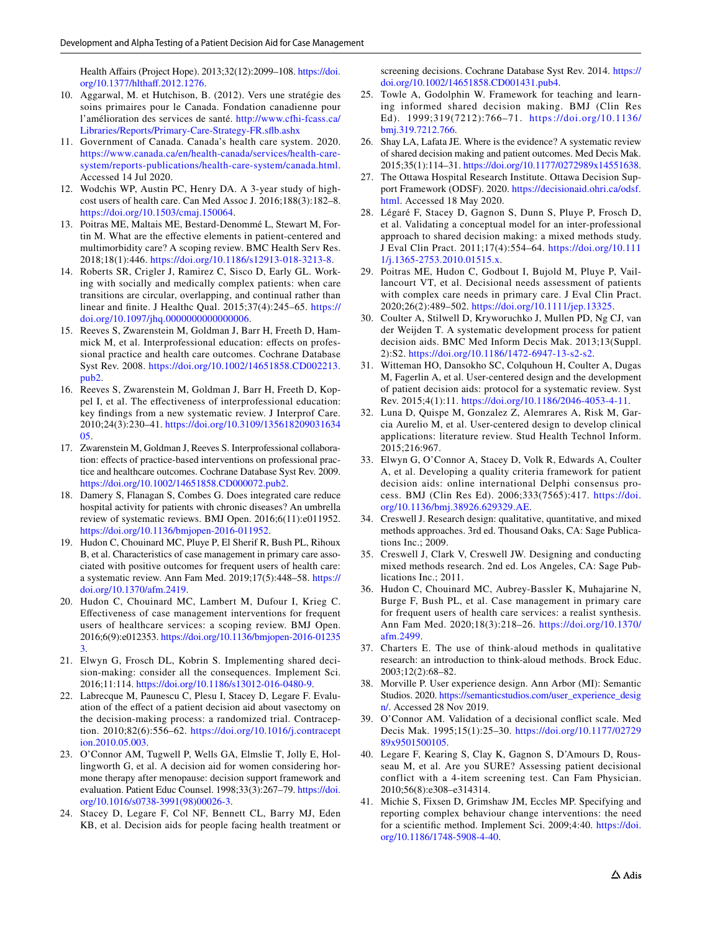Health Afairs (Project Hope). 2013;32(12):2099–108. [https://doi.](https://doi.org/10.1377/hlthaff.2012.1276) org/10.1377/hlthaff.2012.1276.

- <span id="page-8-0"></span>10. Aggarwal, M. et Hutchison, B. (2012). Vers une stratégie des soins primaires pour le Canada. Fondation canadienne pour l'amélioration des services de santé. [http://www.cfhi-fcass.ca/](http://www.cfhi-fcass.ca/Libraries/Reports/Primary-Care-Strategy-FR.sflb.ashx) [Libraries/Reports/Primary-Care-Strategy-FR.sfb.ashx](http://www.cfhi-fcass.ca/Libraries/Reports/Primary-Care-Strategy-FR.sflb.ashx)
- <span id="page-8-1"></span>11. Government of Canada. Canada's health care system. 2020. [https://www.canada.ca/en/health-canada/services/health-care](https://www.canada.ca/en/health-canada/services/health-care-system/reports-publications/health-care-system/canada.html)[system/reports-publications/health-care-system/canada.html](https://www.canada.ca/en/health-canada/services/health-care-system/reports-publications/health-care-system/canada.html). Accessed 14 Jul 2020.
- <span id="page-8-2"></span>12. Wodchis WP, Austin PC, Henry DA. A 3-year study of highcost users of health care. Can Med Assoc J. 2016;188(3):182–8. [https://doi.org/10.1503/cmaj.150064.](https://doi.org/10.1503/cmaj.150064)
- <span id="page-8-3"></span>13. Poitras ME, Maltais ME, Bestard-Denommé L, Stewart M, Fortin M. What are the efective elements in patient-centered and multimorbidity care? A scoping review. BMC Health Serv Res. 2018;18(1):446. <https://doi.org/10.1186/s12913-018-3213-8>.
- <span id="page-8-4"></span>14. Roberts SR, Crigler J, Ramirez C, Sisco D, Early GL. Working with socially and medically complex patients: when care transitions are circular, overlapping, and continual rather than linear and fnite. J Healthc Qual. 2015;37(4):245–65. [https://](https://doi.org/10.1097/jhq.0000000000000006) [doi.org/10.1097/jhq.0000000000000006](https://doi.org/10.1097/jhq.0000000000000006).
- <span id="page-8-5"></span>15. Reeves S, Zwarenstein M, Goldman J, Barr H, Freeth D, Hammick M, et al. Interprofessional education: effects on professional practice and health care outcomes. Cochrane Database Syst Rev. 2008. [https://doi.org/10.1002/14651858.CD002213.](https://doi.org/10.1002/14651858.CD002213.pub2) [pub2.](https://doi.org/10.1002/14651858.CD002213.pub2)
- 16. Reeves S, Zwarenstein M, Goldman J, Barr H, Freeth D, Koppel I, et al. The efectiveness of interprofessional education: key fndings from a new systematic review. J Interprof Care. 2010;24(3):230–41. [https://doi.org/10.3109/135618209031634](https://doi.org/10.3109/13561820903163405) [05.](https://doi.org/10.3109/13561820903163405)
- 17. Zwarenstein M, Goldman J, Reeves S. Interprofessional collaboration: effects of practice-based interventions on professional practice and healthcare outcomes. Cochrane Database Syst Rev. 2009. [https://doi.org/10.1002/14651858.CD000072.pub2.](https://doi.org/10.1002/14651858.CD000072.pub2)
- <span id="page-8-6"></span>18. Damery S, Flanagan S, Combes G. Does integrated care reduce hospital activity for patients with chronic diseases? An umbrella review of systematic reviews. BMJ Open. 2016;6(11):e011952. [https://doi.org/10.1136/bmjopen-2016-011952.](https://doi.org/10.1136/bmjopen-2016-011952)
- <span id="page-8-7"></span>19. Hudon C, Chouinard MC, Pluye P, El Sherif R, Bush PL, Rihoux B, et al. Characteristics of case management in primary care associated with positive outcomes for frequent users of health care: a systematic review. Ann Fam Med. 2019;17(5):448–58. [https://](https://doi.org/10.1370/afm.2419) [doi.org/10.1370/afm.2419.](https://doi.org/10.1370/afm.2419)
- <span id="page-8-8"></span>20. Hudon C, Chouinard MC, Lambert M, Dufour I, Krieg C. Efectiveness of case management interventions for frequent users of healthcare services: a scoping review. BMJ Open. 2016;6(9):e012353. [https://doi.org/10.1136/bmjopen-2016-01235](https://doi.org/10.1136/bmjopen-2016-012353) [3](https://doi.org/10.1136/bmjopen-2016-012353).
- <span id="page-8-9"></span>21. Elwyn G, Frosch DL, Kobrin S. Implementing shared decision-making: consider all the consequences. Implement Sci. 2016;11:114. [https://doi.org/10.1186/s13012-016-0480-9.](https://doi.org/10.1186/s13012-016-0480-9)
- <span id="page-8-10"></span>22. Labrecque M, Paunescu C, Plesu I, Stacey D, Legare F. Evaluation of the efect of a patient decision aid about vasectomy on the decision-making process: a randomized trial. Contraception. 2010;82(6):556–62. [https://doi.org/10.1016/j.contracept](https://doi.org/10.1016/j.contraception.2010.05.003) [ion.2010.05.003](https://doi.org/10.1016/j.contraception.2010.05.003).
- 23. O'Connor AM, Tugwell P, Wells GA, Elmslie T, Jolly E, Hollingworth G, et al. A decision aid for women considering hormone therapy after menopause: decision support framework and evaluation. Patient Educ Counsel. 1998;33(3):267–79. [https://doi.](https://doi.org/10.1016/s0738-3991(98)00026-3) [org/10.1016/s0738-3991\(98\)00026-3.](https://doi.org/10.1016/s0738-3991(98)00026-3)
- <span id="page-8-13"></span>24. Stacey D, Legare F, Col NF, Bennett CL, Barry MJ, Eden KB, et al. Decision aids for people facing health treatment or

screening decisions. Cochrane Database Syst Rev. 2014. [https://](https://doi.org/10.1002/14651858.CD001431.pub4) [doi.org/10.1002/14651858.CD001431.pub4.](https://doi.org/10.1002/14651858.CD001431.pub4)

- <span id="page-8-11"></span>25. Towle A, Godolphin W. Framework for teaching and learning informed shared decision making. BMJ (Clin Res Ed). 1999;319(7212):766–71. [https://doi.org/10.1136/](https://doi.org/10.1136/bmj.319.7212.766) [bmj.319.7212.766.](https://doi.org/10.1136/bmj.319.7212.766)
- <span id="page-8-12"></span>26. Shay LA, Lafata JE. Where is the evidence? A systematic review of shared decision making and patient outcomes. Med Decis Mak. 2015;35(1):114–31.<https://doi.org/10.1177/0272989x14551638>.
- <span id="page-8-14"></span>27. The Ottawa Hospital Research Institute. Ottawa Decision Support Framework (ODSF). 2020. [https://decisionaid.ohri.ca/odsf.](https://decisionaid.ohri.ca/odsf.html) [html](https://decisionaid.ohri.ca/odsf.html). Accessed 18 May 2020.
- <span id="page-8-15"></span>28. Légaré F, Stacey D, Gagnon S, Dunn S, Pluye P, Frosch D, et al. Validating a conceptual model for an inter-professional approach to shared decision making: a mixed methods study. J Eval Clin Pract. 2011;17(4):554–64. [https://doi.org/10.111](https://doi.org/10.1111/j.1365-2753.2010.01515.x) [1/j.1365-2753.2010.01515.x](https://doi.org/10.1111/j.1365-2753.2010.01515.x).
- <span id="page-8-16"></span>29. Poitras ME, Hudon C, Godbout I, Bujold M, Pluye P, Vaillancourt VT, et al. Decisional needs assessment of patients with complex care needs in primary care. J Eval Clin Pract. 2020;26(2):489–502. [https://doi.org/10.1111/jep.13325.](https://doi.org/10.1111/jep.13325)
- <span id="page-8-17"></span>30. Coulter A, Stilwell D, Kryworuchko J, Mullen PD, Ng CJ, van der Weijden T. A systematic development process for patient decision aids. BMC Med Inform Decis Mak. 2013;13(Suppl. 2):S2. [https://doi.org/10.1186/1472-6947-13-s2-s2.](https://doi.org/10.1186/1472-6947-13-s2-s2)
- <span id="page-8-18"></span>31. Witteman HO, Dansokho SC, Colquhoun H, Coulter A, Dugas M, Fagerlin A, et al. User-centered design and the development of patient decision aids: protocol for a systematic review. Syst Rev. 2015;4(1):11. <https://doi.org/10.1186/2046-4053-4-11>.
- <span id="page-8-19"></span>32. Luna D, Quispe M, Gonzalez Z, Alemrares A, Risk M, Garcia Aurelio M, et al. User-centered design to develop clinical applications: literature review. Stud Health Technol Inform. 2015;216:967.
- <span id="page-8-20"></span>33. Elwyn G, O'Connor A, Stacey D, Volk R, Edwards A, Coulter A, et al. Developing a quality criteria framework for patient decision aids: online international Delphi consensus process. BMJ (Clin Res Ed). 2006;333(7565):417. [https://doi.](https://doi.org/10.1136/bmj.38926.629329.AE) [org/10.1136/bmj.38926.629329.AE](https://doi.org/10.1136/bmj.38926.629329.AE).
- <span id="page-8-21"></span>34. Creswell J. Research design: qualitative, quantitative, and mixed methods approaches. 3rd ed. Thousand Oaks, CA: Sage Publications Inc.; 2009.
- <span id="page-8-22"></span>35. Creswell J, Clark V, Creswell JW. Designing and conducting mixed methods research. 2nd ed. Los Angeles, CA: Sage Publications Inc.; 2011.
- <span id="page-8-28"></span>36. Hudon C, Chouinard MC, Aubrey-Bassler K, Muhajarine N, Burge F, Bush PL, et al. Case management in primary care for frequent users of health care services: a realist synthesis. Ann Fam Med. 2020;18(3):218–26. [https://doi.org/10.1370/](https://doi.org/10.1370/afm.2499) [afm.2499.](https://doi.org/10.1370/afm.2499)
- <span id="page-8-23"></span>37. Charters E. The use of think-aloud methods in qualitative research: an introduction to think-aloud methods. Brock Educ. 2003;12(2):68–82.
- <span id="page-8-24"></span>38. Morville P. User experience design. Ann Arbor (MI): Semantic Studios. 2020. [https://semanticstudios.com/user\\_experience\\_desig](http://semanticstudios.com/user_experience_design/) [n/.](http://semanticstudios.com/user_experience_design/) Accessed 28 Nov 2019.
- <span id="page-8-25"></span>39. O'Connor AM. Validation of a decisional confict scale. Med Decis Mak. 1995;15(1):25–30. [https://doi.org/10.1177/02729](https://doi.org/10.1177/0272989x9501500105) [89x9501500105.](https://doi.org/10.1177/0272989x9501500105)
- <span id="page-8-26"></span>40. Legare F, Kearing S, Clay K, Gagnon S, D'Amours D, Rousseau M, et al. Are you SURE? Assessing patient decisional conflict with a 4-item screening test. Can Fam Physician. 2010;56(8):e308–e314314.
- <span id="page-8-27"></span>41. Michie S, Fixsen D, Grimshaw JM, Eccles MP. Specifying and reporting complex behaviour change interventions: the need for a scientifc method. Implement Sci. 2009;4:40. [https://doi.](https://doi.org/10.1186/1748-5908-4-40) [org/10.1186/1748-5908-4-40](https://doi.org/10.1186/1748-5908-4-40).